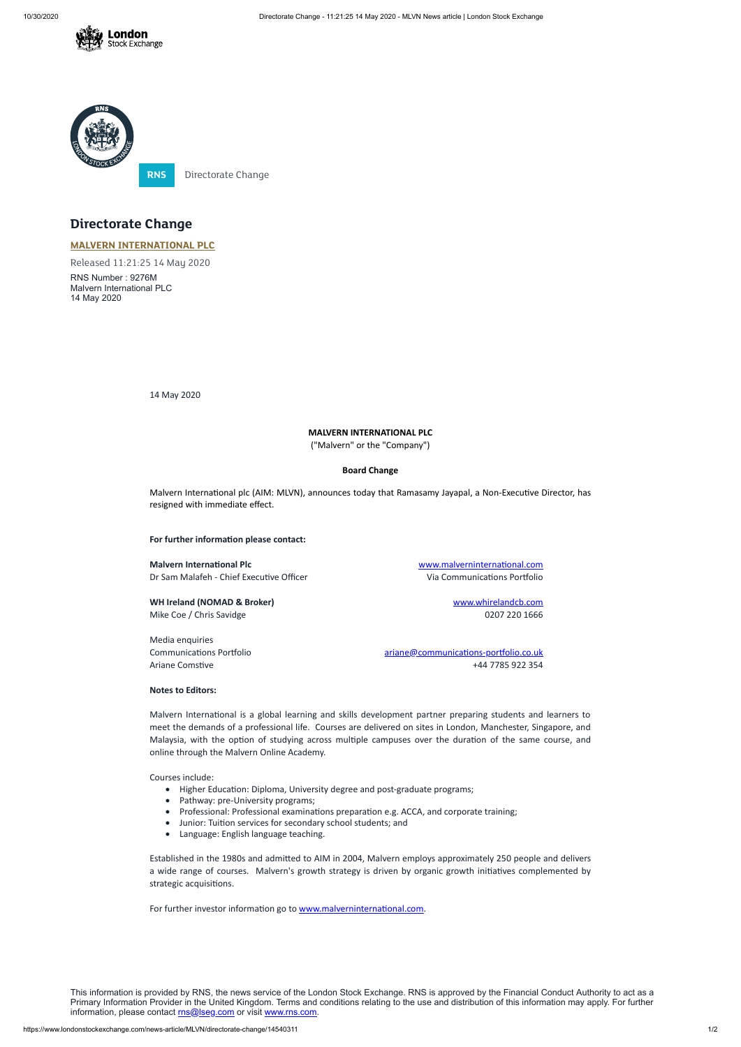



# **Directorate Change**

# **MALVERN [INTERNATIONAL](https://www.londonstockexchange.com/stock/MLVN/malvern-international-plc) PLC**

Released 11:21:25 14 May 2020

Malvern International plc (AIM: MLVN), announces today that Ramasamy Jayapal, a Non-Executive Director, has resigned with immediate effect.

**For further information please contact:** 

**Malvern International Plc** Malverninternational.com Dr Sam Malafeh - Chief Executive Officer Via Communications Portfolio

RNS Number : 9276M Malvern International PLC 14 May 2020

14 May 2020

**WH Ireland (NOMAD & Broker)** [www.whirelandcb.com](http://www.whirelandcb.com/) Mike Coe / Chris Savidge 2007 220 1666

## **MALVERN INTERNATIONAL PLC**

("Malvern" or the "Company")

#### **Board Change**

Malvern International is a global learning and skills development partner preparing students and learners to meet the demands of a professional life. Courses are delivered on sites in London, Manchester, Singapore, and Malaysia, with the option of studying across multiple campuses over the duration of the same course, and online through the Malvern Online Academy.

- Higher Education: Diploma, University degree and post-graduate programs;
- Pathway: pre-University programs;
- Professional: Professional examinations preparation e.g. ACCA, and corporate training;
- · Junior: Tuion services for secondary school students; and
- · Language: English language teaching.

Established in the 1980s and admitted to AIM in 2004, Malvern employs approximately 250 people and delivers a wide range of courses. Malvern's growth strategy is driven by organic growth initiatives complemented by strategic acquisitions.

For further investor information go to www.malverninternational.com.

Media enquiries

Communications Portfolio and ariangular ariane ariane @communications-portfolio.co.uk Ariane Comstive +44 7785 922 354

### **Notes to Editors:**

This information is provided by RNS, the news service of the London Stock Exchange. RNS is approved by the Financial Conduct Authority to act as a Primary Information Provider in the United Kingdom. Terms and conditions relating to the use and distribution of this information may apply. For further information, please contact [rns@lseg.com](mailto:rns@lseg.com) or visit [www.rns.com.](http://www.rns.com/)

Courses include: